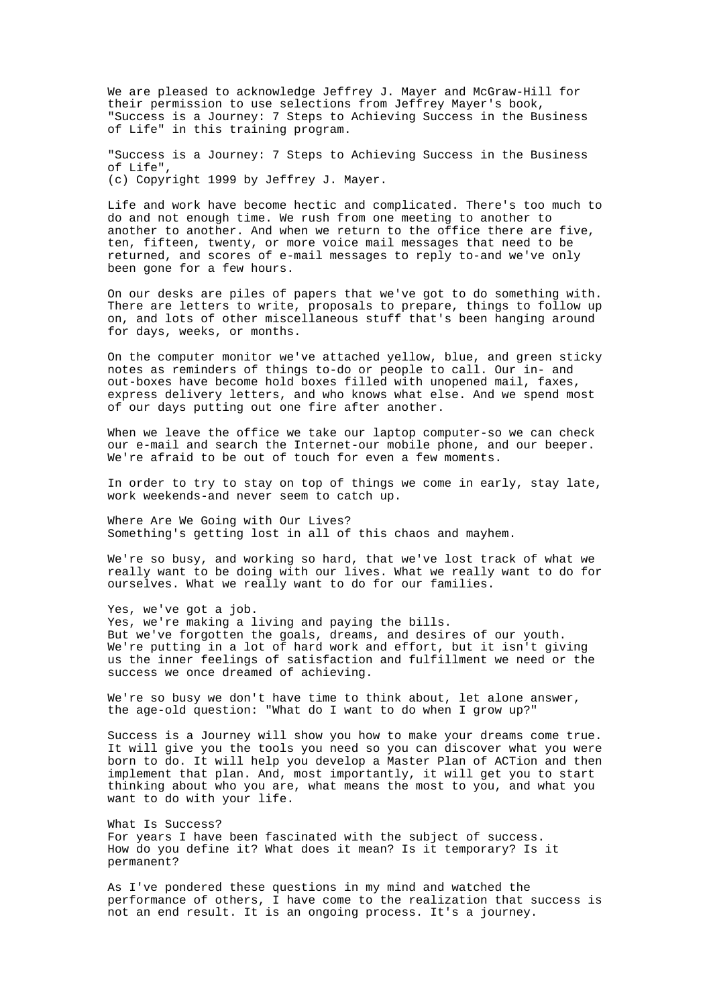We are pleased to acknowledge Jeffrey J. Mayer and McGraw-Hill for their permission to use selections from Jeffrey Mayer's book, "Success is a Journey: 7 Steps to Achieving Success in the Business of Life" in this training program.

"Success is a Journey: 7 Steps to Achieving Success in the Business of Life", (c) Copyright 1999 by Jeffrey J. Mayer.

Life and work have become hectic and complicated. There's too much to do and not enough time. We rush from one meeting to another to another to another. And when we return to the office there are five, ten, fifteen, twenty, or more voice mail messages that need to be returned, and scores of e-mail messages to reply to-and we've only been gone for a few hours.

On our desks are piles of papers that we've got to do something with. There are letters to write, proposals to prepare, things to follow up on, and lots of other miscellaneous stuff that's been hanging around for days, weeks, or months.

On the computer monitor we've attached yellow, blue, and green sticky notes as reminders of things to-do or people to call. Our in- and out-boxes have become hold boxes filled with unopened mail, faxes, express delivery letters, and who knows what else. And we spend most of our days putting out one fire after another.

When we leave the office we take our laptop computer-so we can check our e-mail and search the Internet-our mobile phone, and our beeper. We're afraid to be out of touch for even a few moments.

In order to try to stay on top of things we come in early, stay late, work weekends-and never seem to catch up.

Where Are We Going with Our Lives? Something's getting lost in all of this chaos and mayhem.

We're so busy, and working so hard, that we've lost track of what we really want to be doing with our lives. What we really want to do for ourselves. What we really want to do for our families.

Yes, we've got a job. Yes, we're making a living and paying the bills. But we've forgotten the goals, dreams, and desires of our youth. We're putting in a lot of hard work and effort, but it isn't giving us the inner feelings of satisfaction and fulfillment we need or the success we once dreamed of achieving.

We're so busy we don't have time to think about, let alone answer, the age-old question: "What do I want to do when I grow up?"

Success is a Journey will show you how to make your dreams come true. It will give you the tools you need so you can discover what you were born to do. It will help you develop a Master Plan of ACTion and then implement that plan. And, most importantly, it will get you to start thinking about who you are, what means the most to you, and what you want to do with your life.

What Is Success? For years I have been fascinated with the subject of success. How do you define it? What does it mean? Is it temporary? Is it permanent?

As I've pondered these questions in my mind and watched the performance of others, I have come to the realization that success is not an end result. It is an ongoing process. It's a journey.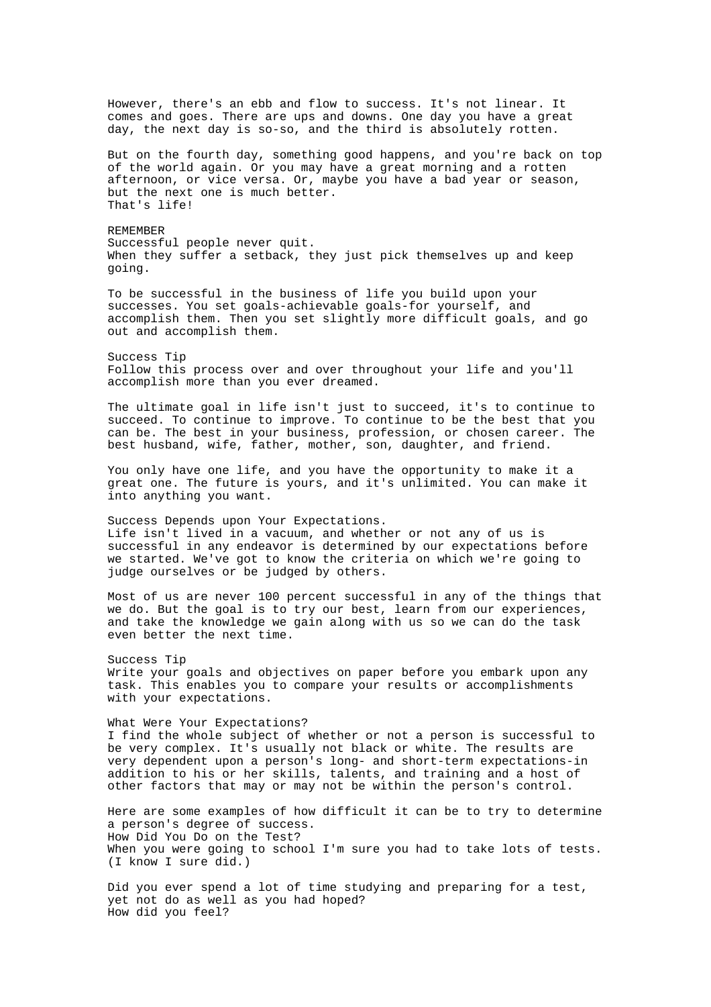However, there's an ebb and flow to success. It's not linear. It comes and goes. There are ups and downs. One day you have a great day, the next day is so-so, and the third is absolutely rotten.

But on the fourth day, something good happens, and you're back on top of the world again. Or you may have a great morning and a rotten afternoon, or vice versa. Or, maybe you have a bad year or season, but the next one is much better. That's life!

REMEMBER Successful people never quit. When they suffer a setback, they just pick themselves up and keep going.

To be successful in the business of life you build upon your successes. You set goals-achievable goals-for yourself, and accomplish them. Then you set slightly more difficult goals, and go out and accomplish them.

Success Tip Follow this process over and over throughout your life and you'll accomplish more than you ever dreamed.

The ultimate goal in life isn't just to succeed, it's to continue to succeed. To continue to improve. To continue to be the best that you can be. The best in your business, profession, or chosen career. The best husband, wife, father, mother, son, daughter, and friend.

You only have one life, and you have the opportunity to make it a great one. The future is yours, and it's unlimited. You can make it into anything you want.

Success Depends upon Your Expectations. Life isn't lived in a vacuum, and whether or not any of us is successful in any endeavor is determined by our expectations before we started. We've got to know the criteria on which we're going to judge ourselves or be judged by others.

Most of us are never 100 percent successful in any of the things that we do. But the goal is to try our best, learn from our experiences, and take the knowledge we gain along with us so we can do the task even better the next time.

Success Tip Write your goals and objectives on paper before you embark upon any task. This enables you to compare your results or accomplishments with your expectations.

What Were Your Expectations? I find the whole subject of whether or not a person is successful to be very complex. It's usually not black or white. The results are very dependent upon a person's long- and short-term expectations-in addition to his or her skills, talents, and training and a host of other factors that may or may not be within the person's control.

Here are some examples of how difficult it can be to try to determine a person's degree of success. How Did You Do on the Test? When you were going to school I'm sure you had to take lots of tests. (I know I sure did.)

Did you ever spend a lot of time studying and preparing for a test, yet not do as well as you had hoped? How did you feel?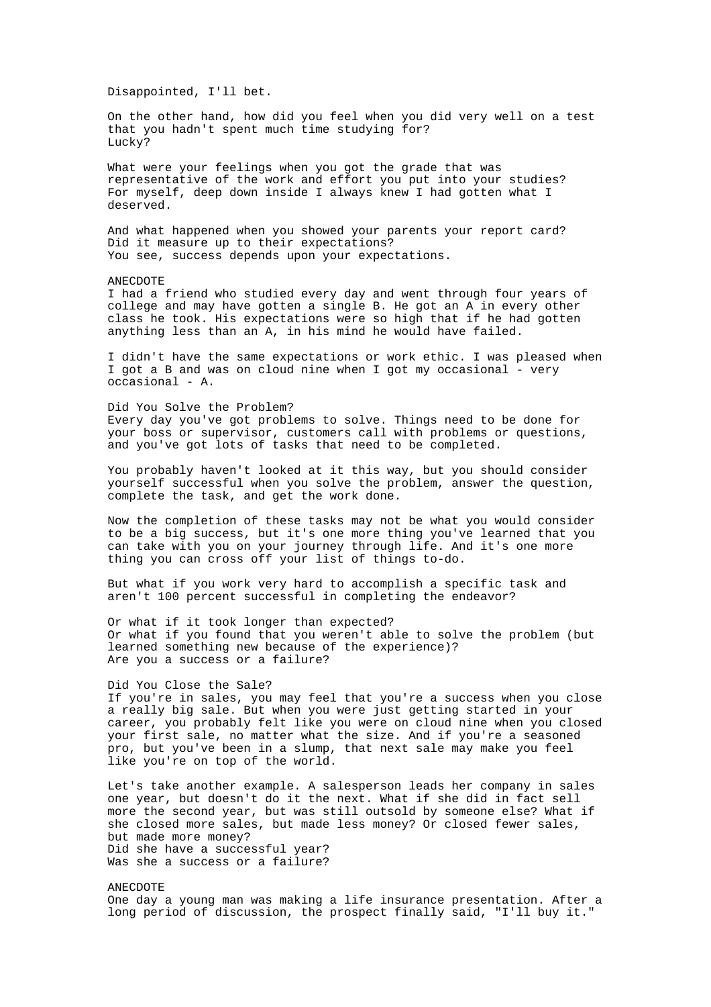Disappointed, I'll bet.

On the other hand, how did you feel when you did very well on a test that you hadn't spent much time studying for? Lucky?

What were your feelings when you got the grade that was representative of the work and effort you put into your studies? For myself, deep down inside I always knew I had gotten what I deserved.

And what happened when you showed your parents your report card? Did it measure up to their expectations? You see, success depends upon your expectations.

ANECDOTE I had a friend who studied every day and went through four years of college and may have gotten a single B. He got an A in every other class he took. His expectations were so high that if he had gotten anything less than an A, in his mind he would have failed.

I didn't have the same expectations or work ethic. I was pleased when I got a B and was on cloud nine when I got my occasional - very occasional - A.

Did You Solve the Problem? Every day you've got problems to solve. Things need to be done for your boss or supervisor, customers call with problems or questions, and you've got lots of tasks that need to be completed.

You probably haven't looked at it this way, but you should consider yourself successful when you solve the problem, answer the question, complete the task, and get the work done.

Now the completion of these tasks may not be what you would consider to be a big success, but it's one more thing you've learned that you can take with you on your journey through life. And it's one more thing you can cross off your list of things to-do.

But what if you work very hard to accomplish a specific task and aren't 100 percent successful in completing the endeavor?

Or what if it took longer than expected? Or what if you found that you weren't able to solve the problem (but learned something new because of the experience)? Are you a success or a failure?

Did You Close the Sale? If you're in sales, you may feel that you're a success when you close a really big sale. But when you were just getting started in your career, you probably felt like you were on cloud nine when you closed your first sale, no matter what the size. And if you're a seasoned pro, but you've been in a slump, that next sale may make you feel like you're on top of the world.

Let's take another example. A salesperson leads her company in sales one year, but doesn't do it the next. What if she did in fact sell more the second year, but was still outsold by someone else? What if she closed more sales, but made less money? Or closed fewer sales, but made more money? Did she have a successful year? Was she a success or a failure?

ANECDOTE One day a young man was making a life insurance presentation. After a long period of discussion, the prospect finally said, "I'll buy it."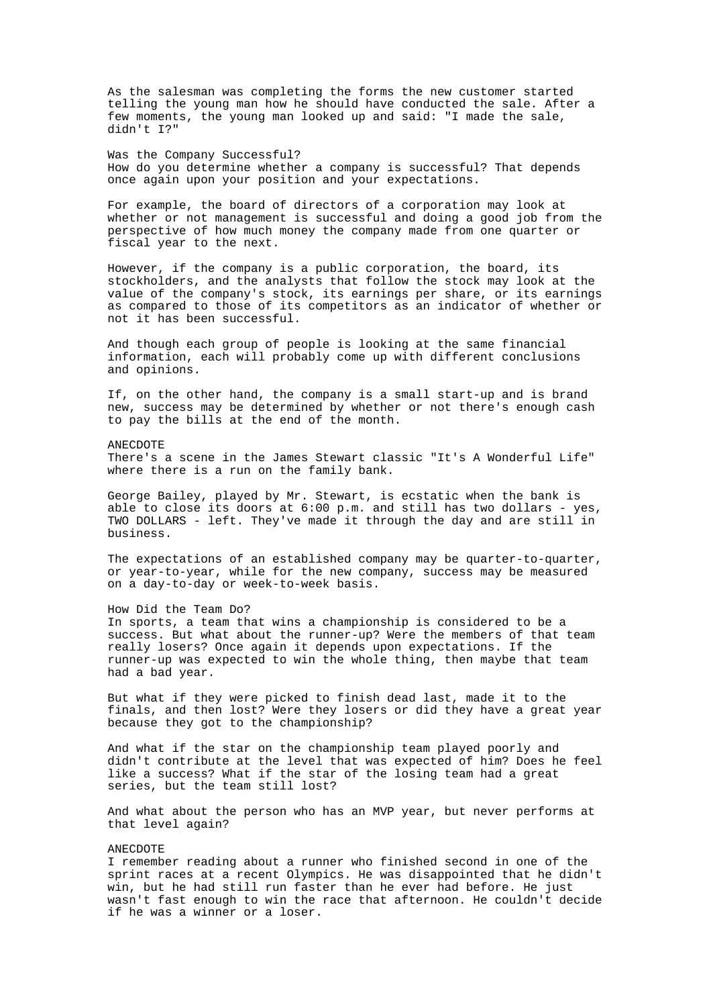As the salesman was completing the forms the new customer started telling the young man how he should have conducted the sale. After a few moments, the young man looked up and said: "I made the sale, didn't I?"

Was the Company Successful? How do you determine whether a company is successful? That depends once again upon your position and your expectations.

For example, the board of directors of a corporation may look at whether or not management is successful and doing a good job from the perspective of how much money the company made from one quarter or fiscal year to the next.

However, if the company is a public corporation, the board, its stockholders, and the analysts that follow the stock may look at the value of the company's stock, its earnings per share, or its earnings as compared to those of its competitors as an indicator of whether or not it has been successful.

And though each group of people is looking at the same financial information, each will probably come up with different conclusions and opinions.

If, on the other hand, the company is a small start-up and is brand new, success may be determined by whether or not there's enough cash to pay the bills at the end of the month.

ANECDOTE There's a scene in the James Stewart classic "It's A Wonderful Life" where there is a run on the family bank.

George Bailey, played by Mr. Stewart, is ecstatic when the bank is able to close its doors at 6:00 p.m. and still has two dollars - yes, TWO DOLLARS - left. They've made it through the day and are still in business.

The expectations of an established company may be quarter-to-quarter, or year-to-year, while for the new company, success may be measured on a day-to-day or week-to-week basis.

How Did the Team Do?

In sports, a team that wins a championship is considered to be a success. But what about the runner-up? Were the members of that team really losers? Once again it depends upon expectations. If the runner-up was expected to win the whole thing, then maybe that team had a bad year.

But what if they were picked to finish dead last, made it to the finals, and then lost? Were they losers or did they have a great year because they got to the championship?

And what if the star on the championship team played poorly and didn't contribute at the level that was expected of him? Does he feel like a success? What if the star of the losing team had a great series, but the team still lost?

And what about the person who has an MVP year, but never performs at that level again?

## ANECDOTE

I remember reading about a runner who finished second in one of the sprint races at a recent Olympics. He was disappointed that he didn't win, but he had still run faster than he ever had before. He just wasn't fast enough to win the race that afternoon. He couldn't decide if he was a winner or a loser.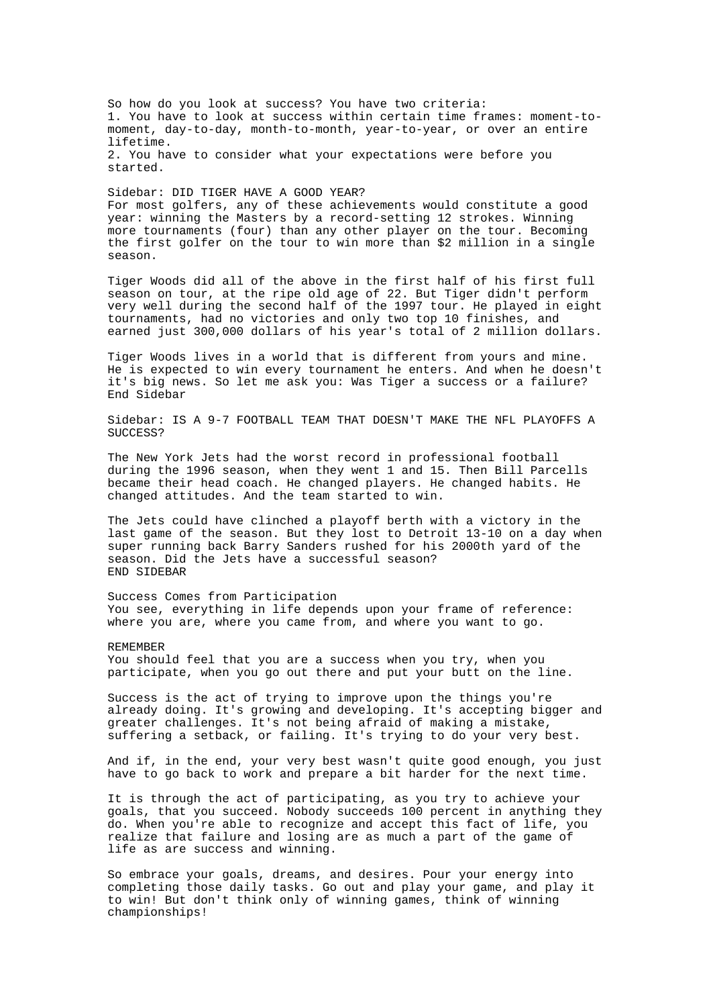So how do you look at success? You have two criteria: 1. You have to look at success within certain time frames: moment-tomoment, day-to-day, month-to-month, year-to-year, or over an entire lifetime. 2. You have to consider what your expectations were before you started.

Sidebar: DID TIGER HAVE A GOOD YEAR? For most golfers, any of these achievements would constitute a good year: winning the Masters by a record-setting 12 strokes. Winning more tournaments (four) than any other player on the tour. Becoming the first golfer on the tour to win more than \$2 million in a single season.

Tiger Woods did all of the above in the first half of his first full season on tour, at the ripe old age of 22. But Tiger didn't perform very well during the second half of the 1997 tour. He played in eight tournaments, had no victories and only two top 10 finishes, and earned just 300,000 dollars of his year's total of 2 million dollars.

Tiger Woods lives in a world that is different from yours and mine. He is expected to win every tournament he enters. And when he doesn't it's big news. So let me ask you: Was Tiger a success or a failure? End Sidebar

Sidebar: IS A 9-7 FOOTBALL TEAM THAT DOESN'T MAKE THE NFL PLAYOFFS A SUCCESS?

The New York Jets had the worst record in professional football during the 1996 season, when they went 1 and 15. Then Bill Parcells became their head coach. He changed players. He changed habits. He changed attitudes. And the team started to win.

The Jets could have clinched a playoff berth with a victory in the last game of the season. But they lost to Detroit 13-10 on a day when super running back Barry Sanders rushed for his 2000th yard of the season. Did the Jets have a successful season? END SIDEBAR

Success Comes from Participation You see, everything in life depends upon your frame of reference: where you are, where you came from, and where you want to go.

REMEMBER You should feel that you are a success when you try, when you participate, when you go out there and put your butt on the line.

Success is the act of trying to improve upon the things you're already doing. It's growing and developing. It's accepting bigger and greater challenges. It's not being afraid of making a mistake, suffering a setback, or failing. It's trying to do your very best.

And if, in the end, your very best wasn't quite good enough, you just have to go back to work and prepare a bit harder for the next time.

It is through the act of participating, as you try to achieve your goals, that you succeed. Nobody succeeds 100 percent in anything they do. When you're able to recognize and accept this fact of life, you realize that failure and losing are as much a part of the game of life as are success and winning.

So embrace your goals, dreams, and desires. Pour your energy into completing those daily tasks. Go out and play your game, and play it to win! But don't think only of winning games, think of winning championships!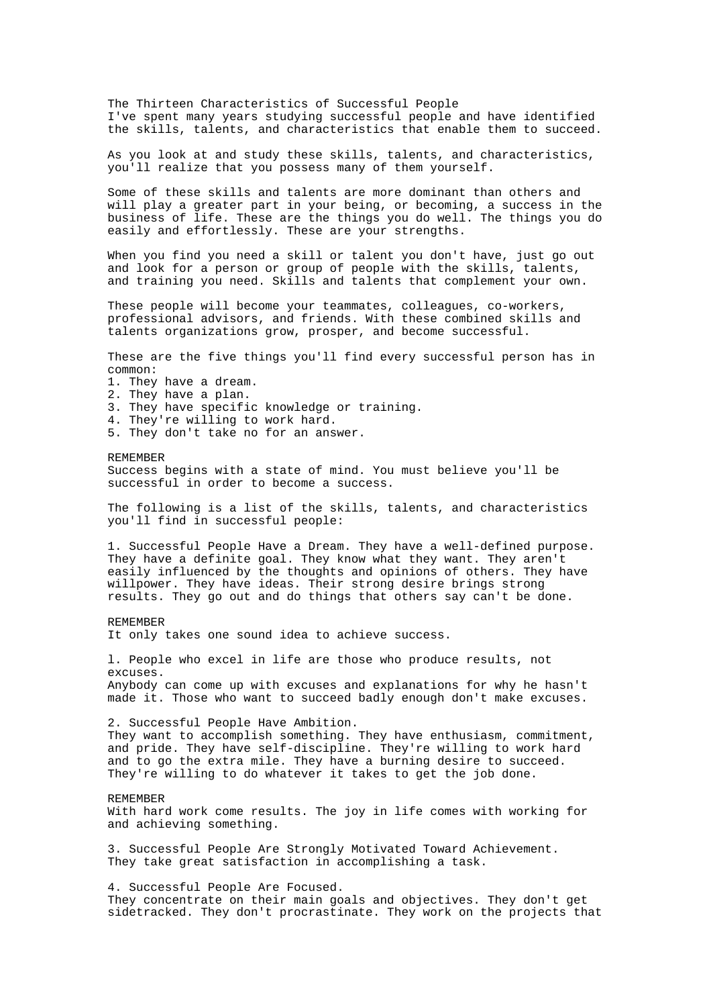The Thirteen Characteristics of Successful People I've spent many years studying successful people and have identified the skills, talents, and characteristics that enable them to succeed.

As you look at and study these skills, talents, and characteristics, you'll realize that you possess many of them yourself.

Some of these skills and talents are more dominant than others and will play a greater part in your being, or becoming, a success in the business of life. These are the things you do well. The things you do easily and effortlessly. These are your strengths.

When you find you need a skill or talent you don't have, just go out and look for a person or group of people with the skills, talents, and training you need. Skills and talents that complement your own.

These people will become your teammates, colleagues, co-workers, professional advisors, and friends. With these combined skills and talents organizations grow, prosper, and become successful.

These are the five things you'll find every successful person has in common: 1. They have a dream. 2. They have a plan. 3. They have specific knowledge or training. 4. They're willing to work hard. 5. They don't take no for an answer.

REMEMBER Success begins with a state of mind. You must believe you'll be successful in order to become a success.

The following is a list of the skills, talents, and characteristics you'll find in successful people:

1. Successful People Have a Dream. They have a well-defined purpose. They have a definite goal. They know what they want. They aren't easily influenced by the thoughts and opinions of others. They have willpower. They have ideas. Their strong desire brings strong results. They go out and do things that others say can't be done.

REMEMBER It only takes one sound idea to achieve success.

l. People who excel in life are those who produce results, not excuses. Anybody can come up with excuses and explanations for why he hasn't made it. Those who want to succeed badly enough don't make excuses.

2. Successful People Have Ambition. They want to accomplish something. They have enthusiasm, commitment, and pride. They have self-discipline. They're willing to work hard and to go the extra mile. They have a burning desire to succeed. They're willing to do whatever it takes to get the job done.

REMEMBER With hard work come results. The joy in life comes with working for and achieving something.

3. Successful People Are Strongly Motivated Toward Achievement. They take great satisfaction in accomplishing a task.

4. Successful People Are Focused. They concentrate on their main goals and objectives. They don't get sidetracked. They don't procrastinate. They work on the projects that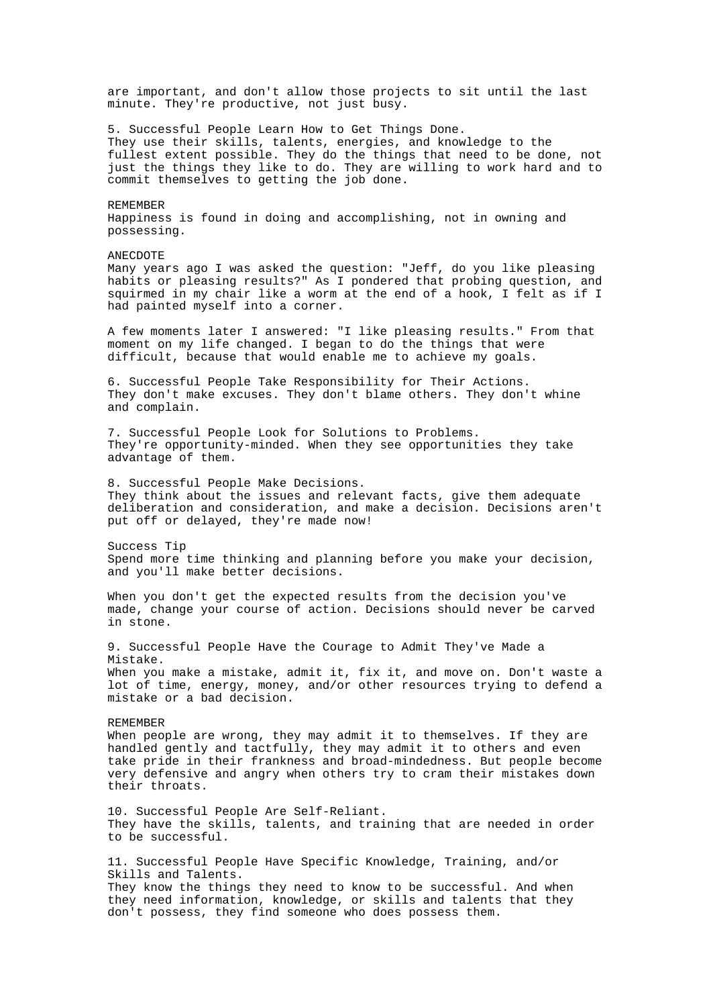are important, and don't allow those projects to sit until the last minute. They're productive, not just busy. 5. Successful People Learn How to Get Things Done. They use their skills, talents, energies, and knowledge to the fullest extent possible. They do the things that need to be done, not just the things they like to do. They are willing to work hard and to commit themselves to getting the job done. REMEMBER Happiness is found in doing and accomplishing, not in owning and possessing. ANECDOTE Many years ago I was asked the question: "Jeff, do you like pleasing habits or pleasing results?" As I pondered that probing question, and squirmed in my chair like a worm at the end of a hook, I felt as if I had painted myself into a corner. A few moments later I answered: "I like pleasing results." From that moment on my life changed. I began to do the things that were difficult, because that would enable me to achieve my goals. 6. Successful People Take Responsibility for Their Actions. They don't make excuses. They don't blame others. They don't whine and complain. 7. Successful People Look for Solutions to Problems. They're opportunity-minded. When they see opportunities they take advantage of them. 8. Successful People Make Decisions. They think about the issues and relevant facts, give them adequate deliberation and consideration, and make a decision. Decisions aren't put off or delayed, they're made now! Success Tip Spend more time thinking and planning before you make your decision, and you'll make better decisions. When you don't get the expected results from the decision you've made, change your course of action. Decisions should never be carved in stone. 9. Successful People Have the Courage to Admit They've Made a Mistake. When you make a mistake, admit it, fix it, and move on. Don't waste a lot of time, energy, money, and/or other resources trying to defend a mistake or a bad decision. REMEMBER When people are wrong, they may admit it to themselves. If they are handled gently and tactfully, they may admit it to others and even take pride in their frankness and broad-mindedness. But people become very defensive and angry when others try to cram their mistakes down their throats. 10. Successful People Are Self-Reliant. They have the skills, talents, and training that are needed in order to be successful. 11. Successful People Have Specific Knowledge, Training, and/or Skills and Talents. They know the things they need to know to be successful. And when they need information, knowledge, or skills and talents that they don't possess, they find someone who does possess them.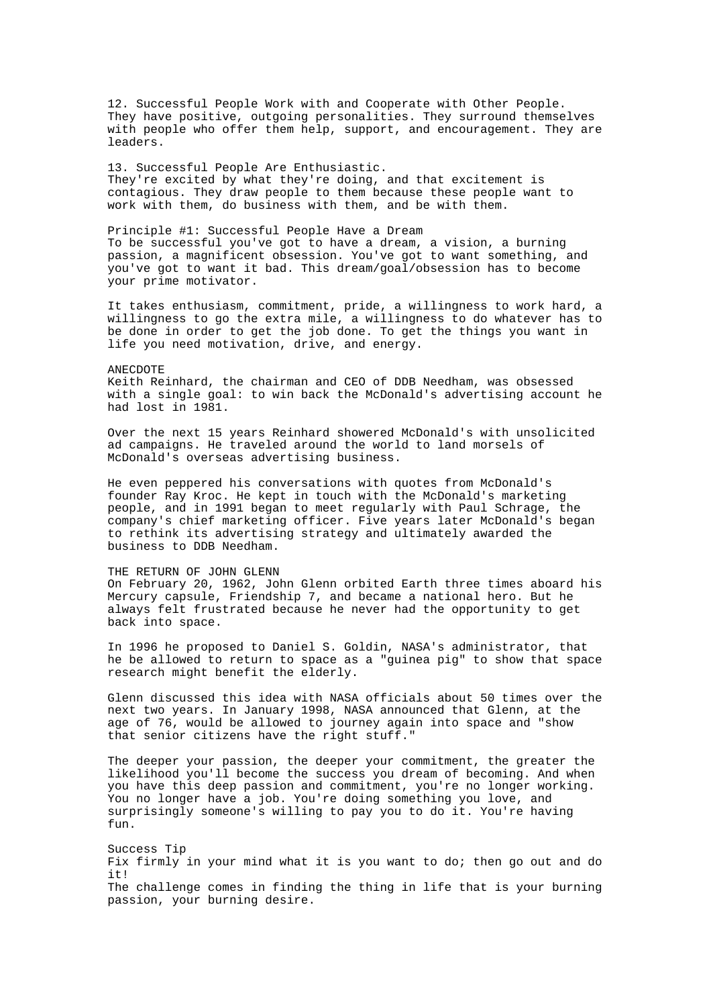12. Successful People Work with and Cooperate with Other People. They have positive, outgoing personalities. They surround themselves with people who offer them help, support, and encouragement. They are leaders.

13. Successful People Are Enthusiastic. They're excited by what they're doing, and that excitement is contagious. They draw people to them because these people want to work with them, do business with them, and be with them.

Principle #1: Successful People Have a Dream To be successful you've got to have a dream, a vision, a burning passion, a magnificent obsession. You've got to want something, and you've got to want it bad. This dream/goal/obsession has to become your prime motivator.

It takes enthusiasm, commitment, pride, a willingness to work hard, a willingness to go the extra mile, a willingness to do whatever has to be done in order to get the job done. To get the things you want in life you need motivation, drive, and energy.

ANECDOTE Keith Reinhard, the chairman and CEO of DDB Needham, was obsessed with a single goal: to win back the McDonald's advertising account he had lost in 1981.

Over the next 15 years Reinhard showered McDonald's with unsolicited ad campaigns. He traveled around the world to land morsels of McDonald's overseas advertising business.

He even peppered his conversations with quotes from McDonald's founder Ray Kroc. He kept in touch with the McDonald's marketing people, and in 1991 began to meet regularly with Paul Schrage, the company's chief marketing officer. Five years later McDonald's began to rethink its advertising strategy and ultimately awarded the business to DDB Needham.

## THE RETURN OF JOHN GLENN

On February 20, 1962, John Glenn orbited Earth three times aboard his Mercury capsule, Friendship 7, and became a national hero. But he always felt frustrated because he never had the opportunity to get back into space.

In 1996 he proposed to Daniel S. Goldin, NASA's administrator, that he be allowed to return to space as a "guinea pig" to show that space research might benefit the elderly.

Glenn discussed this idea with NASA officials about 50 times over the next two years. In January 1998, NASA announced that Glenn, at the age of 76, would be allowed to journey again into space and "show that senior citizens have the right stuff."

The deeper your passion, the deeper your commitment, the greater the likelihood you'll become the success you dream of becoming. And when you have this deep passion and commitment, you're no longer working. You no longer have a job. You're doing something you love, and surprisingly someone's willing to pay you to do it. You're having fun

Success Tip Fix firmly in your mind what it is you want to do; then go out and do it! The challenge comes in finding the thing in life that is your burning passion, your burning desire.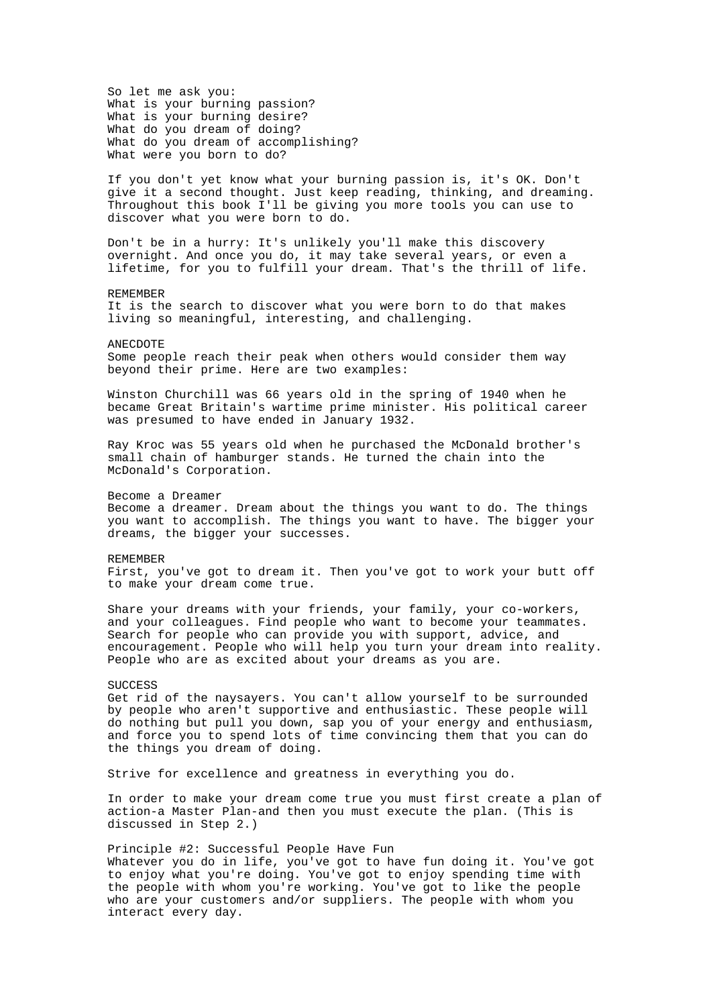So let me ask you: What is your burning passion? What is your burning desire? What do you dream of doing? What do you dream of accomplishing? What were you born to do?

If you don't yet know what your burning passion is, it's OK. Don't give it a second thought. Just keep reading, thinking, and dreaming. Throughout this book I'll be giving you more tools you can use to discover what you were born to do.

Don't be in a hurry: It's unlikely you'll make this discovery overnight. And once you do, it may take several years, or even a lifetime, for you to fulfill your dream. That's the thrill of life.

REMEMBER It is the search to discover what you were born to do that makes living so meaningful, interesting, and challenging.

ANECDOTE Some people reach their peak when others would consider them way beyond their prime. Here are two examples:

Winston Churchill was 66 years old in the spring of 1940 when he became Great Britain's wartime prime minister. His political career was presumed to have ended in January 1932.

Ray Kroc was 55 years old when he purchased the McDonald brother's small chain of hamburger stands. He turned the chain into the McDonald's Corporation.

Become a Dreamer Become a dreamer. Dream about the things you want to do. The things you want to accomplish. The things you want to have. The bigger your dreams, the bigger your successes.

REMEMBER First, you've got to dream it. Then you've got to work your butt off to make your dream come true.

Share your dreams with your friends, your family, your co-workers, and your colleagues. Find people who want to become your teammates. Search for people who can provide you with support, advice, and encouragement. People who will help you turn your dream into reality. People who are as excited about your dreams as you are.

**SUCCESS** 

Get rid of the naysayers. You can't allow yourself to be surrounded by people who aren't supportive and enthusiastic. These people will do nothing but pull you down, sap you of your energy and enthusiasm, and force you to spend lots of time convincing them that you can do the things you dream of doing.

Strive for excellence and greatness in everything you do.

In order to make your dream come true you must first create a plan of action-a Master Plan-and then you must execute the plan. (This is discussed in Step 2.)

Principle #2: Successful People Have Fun Whatever you do in life, you've got to have fun doing it. You've got to enjoy what you're doing. You've got to enjoy spending time with the people with whom you're working. You've got to like the people who are your customers and/or suppliers. The people with whom you interact every day.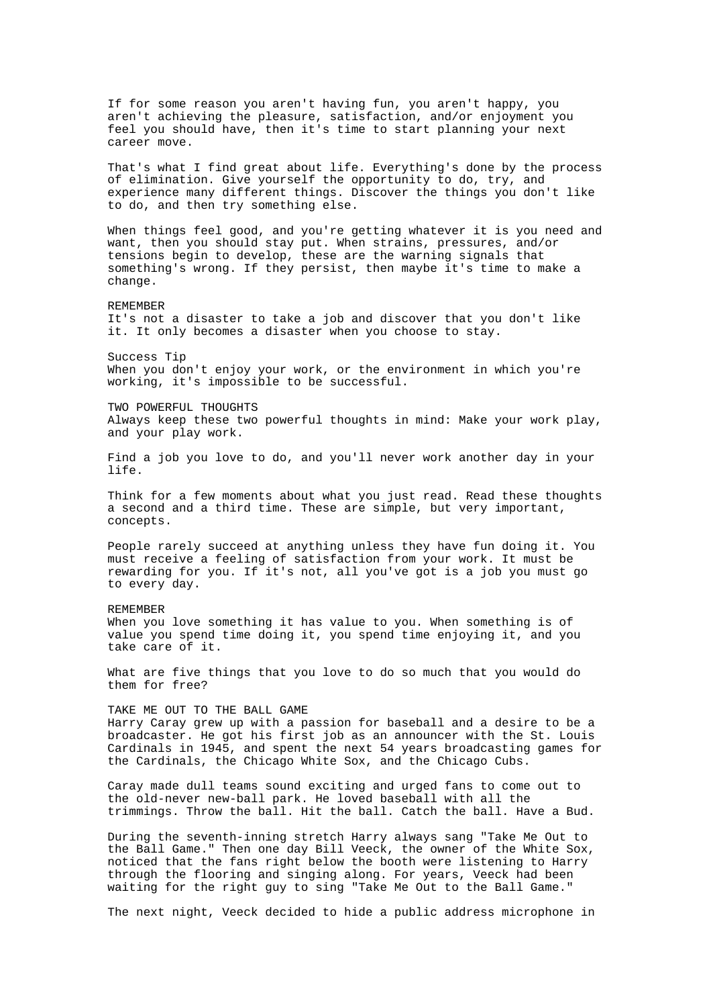If for some reason you aren't having fun, you aren't happy, you aren't achieving the pleasure, satisfaction, and/or enjoyment you feel you should have, then it's time to start planning your next career move.

That's what I find great about life. Everything's done by the process of elimination. Give yourself the opportunity to do, try, and experience many different things. Discover the things you don't like to do, and then try something else.

When things feel good, and you're getting whatever it is you need and want, then you should stay put. When strains, pressures, and/or tensions begin to develop, these are the warning signals that something's wrong. If they persist, then maybe it's time to make a change.

REMEMBER It's not a disaster to take a job and discover that you don't like it. It only becomes a disaster when you choose to stay.

Success Tip When you don't enjoy your work, or the environment in which you're working, it's impossible to be successful.

TWO POWERFUL THOUGHTS Always keep these two powerful thoughts in mind: Make your work play, and your play work.

Find a job you love to do, and you'll never work another day in your life.

Think for a few moments about what you just read. Read these thoughts a second and a third time. These are simple, but very important, concepts.

People rarely succeed at anything unless they have fun doing it. You must receive a feeling of satisfaction from your work. It must be rewarding for you. If it's not, all you've got is a job you must go to every day.

REMEMBER When you love something it has value to you. When something is of value you spend time doing it, you spend time enjoying it, and you take care of it.

What are five things that you love to do so much that you would do them for free?

TAKE ME OUT TO THE BALL GAME Harry Caray grew up with a passion for baseball and a desire to be a broadcaster. He got his first job as an announcer with the St. Louis Cardinals in 1945, and spent the next 54 years broadcasting games for the Cardinals, the Chicago White Sox, and the Chicago Cubs.

Caray made dull teams sound exciting and urged fans to come out to the old-never new-ball park. He loved baseball with all the trimmings. Throw the ball. Hit the ball. Catch the ball. Have a Bud.

During the seventh-inning stretch Harry always sang "Take Me Out to the Ball Game." Then one day Bill Veeck, the owner of the White Sox, noticed that the fans right below the booth were listening to Harry through the flooring and singing along. For years, Veeck had been waiting for the right guy to sing "Take Me Out to the Ball Game."

The next night, Veeck decided to hide a public address microphone in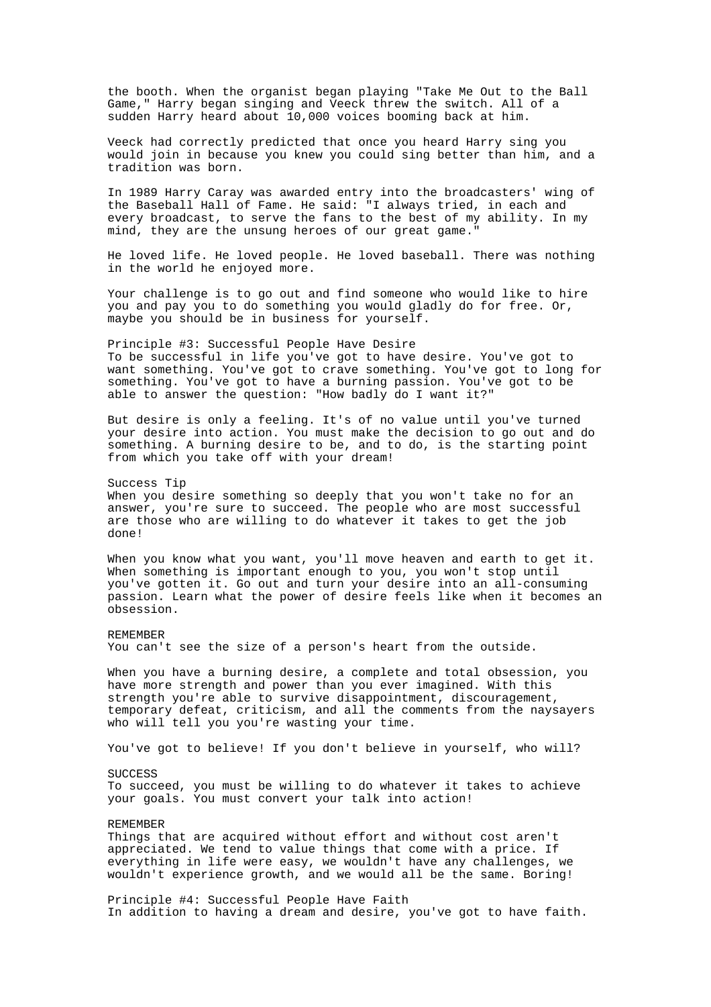the booth. When the organist began playing "Take Me Out to the Ball Game," Harry began singing and Veeck threw the switch. All of a sudden Harry heard about 10,000 voices booming back at him.

Veeck had correctly predicted that once you heard Harry sing you would join in because you knew you could sing better than him, and a tradition was born.

In 1989 Harry Caray was awarded entry into the broadcasters' wing of the Baseball Hall of Fame. He said: "I always tried, in each and every broadcast, to serve the fans to the best of my ability. In my mind, they are the unsung heroes of our great game."

He loved life. He loved people. He loved baseball. There was nothing in the world he enjoyed more.

Your challenge is to go out and find someone who would like to hire you and pay you to do something you would gladly do for free. Or, maybe you should be in business for yourself.

Principle #3: Successful People Have Desire To be successful in life you've got to have desire. You've got to want something. You've got to crave something. You've got to long for something. You've got to have a burning passion. You've got to be able to answer the question: "How badly do I want it?"

But desire is only a feeling. It's of no value until you've turned your desire into action. You must make the decision to go out and do something. A burning desire to be, and to do, is the starting point from which you take off with your dream!

Success Tip When you desire something so deeply that you won't take no for an answer, you're sure to succeed. The people who are most successful are those who are willing to do whatever it takes to get the job done!

When you know what you want, you'll move heaven and earth to get it. When something is important enough to you, you won't stop until you've gotten it. Go out and turn your desire into an all-consuming passion. Learn what the power of desire feels like when it becomes an obsession.

REMEMBER You can't see the size of a person's heart from the outside.

When you have a burning desire, a complete and total obsession, you have more strength and power than you ever imagined. With this strength you're able to survive disappointment, discouragement, temporary defeat, criticism, and all the comments from the naysayers who will tell you you're wasting your time.

You've got to believe! If you don't believe in yourself, who will?

## **SUCCESS**

To succeed, you must be willing to do whatever it takes to achieve your goals. You must convert your talk into action!

## REMEMBER

Things that are acquired without effort and without cost aren't appreciated. We tend to value things that come with a price. If everything in life were easy, we wouldn't have any challenges, we wouldn't experience growth, and we would all be the same. Boring!

Principle #4: Successful People Have Faith In addition to having a dream and desire, you've got to have faith.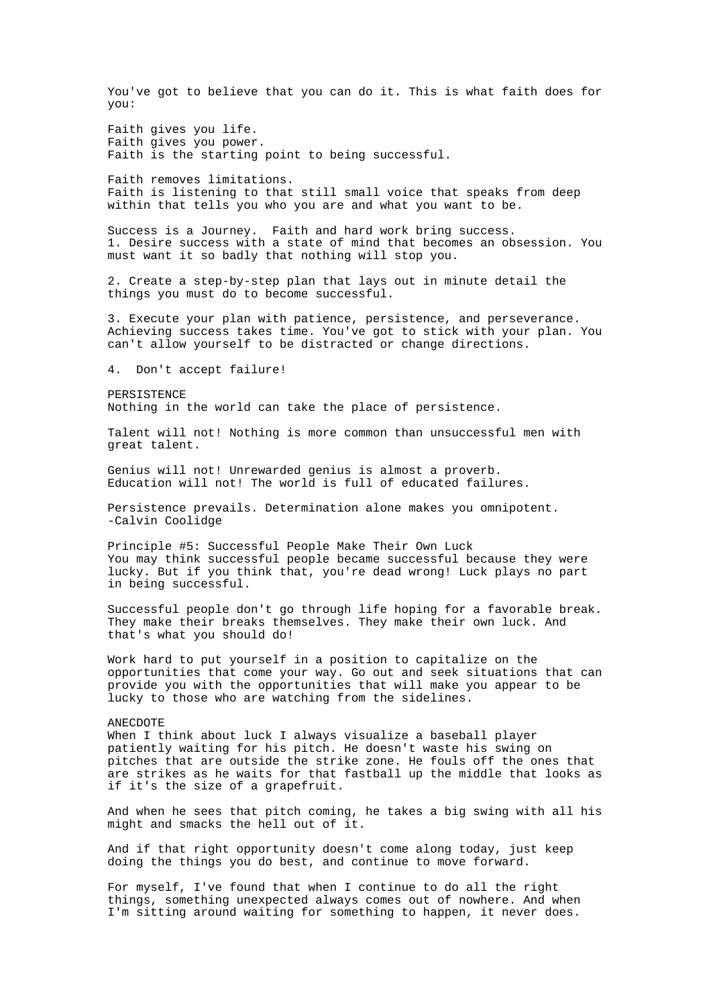You've got to believe that you can do it. This is what faith does for you:

Faith gives you life. Faith gives you power. Faith is the starting point to being successful.

Faith removes limitations. Faith is listening to that still small voice that speaks from deep within that tells you who you are and what you want to be.

Success is a Journey. Faith and hard work bring success. 1. Desire success with a state of mind that becomes an obsession. You must want it so badly that nothing will stop you.

2. Create a step-by-step plan that lays out in minute detail the things you must do to become successful.

3. Execute your plan with patience, persistence, and perseverance. Achieving success takes time. You've got to stick with your plan. You can't allow yourself to be distracted or change directions.

4. Don't accept failure!

PERSISTENCE Nothing in the world can take the place of persistence.

Talent will not! Nothing is more common than unsuccessful men with great talent.

Genius will not! Unrewarded genius is almost a proverb. Education will not! The world is full of educated failures.

Persistence prevails. Determination alone makes you omnipotent. -Calvin Coolidge

Principle #5: Successful People Make Their Own Luck You may think successful people became successful because they were lucky. But if you think that, you're dead wrong! Luck plays no part in being successful.

Successful people don't go through life hoping for a favorable break. They make their breaks themselves. They make their own luck. And that's what you should do!

Work hard to put yourself in a position to capitalize on the opportunities that come your way. Go out and seek situations that can provide you with the opportunities that will make you appear to be lucky to those who are watching from the sidelines.

ANECDOTE

When I think about luck I always visualize a baseball player patiently waiting for his pitch. He doesn't waste his swing on pitches that are outside the strike zone. He fouls off the ones that are strikes as he waits for that fastball up the middle that looks as if it's the size of a grapefruit.

And when he sees that pitch coming, he takes a big swing with all his might and smacks the hell out of it.

And if that right opportunity doesn't come along today, just keep doing the things you do best, and continue to move forward.

For myself, I've found that when I continue to do all the right things, something unexpected always comes out of nowhere. And when I'm sitting around waiting for something to happen, it never does.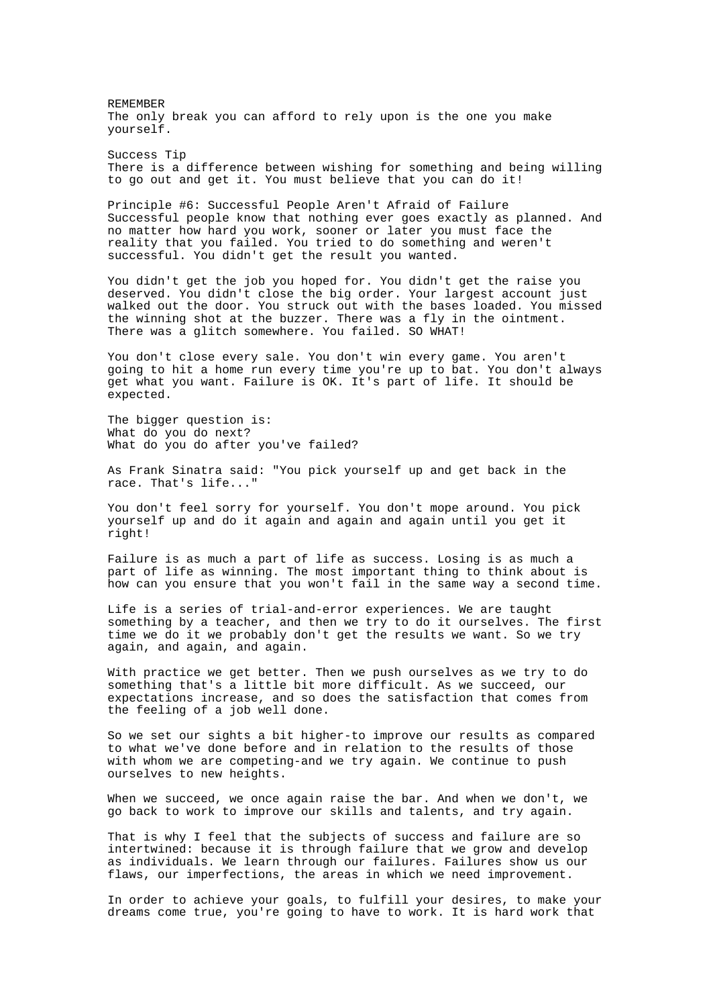REMEMBER The only break you can afford to rely upon is the one you make yourself.

Success Tip There is a difference between wishing for something and being willing to go out and get it. You must believe that you can do it!

Principle #6: Successful People Aren't Afraid of Failure Successful people know that nothing ever goes exactly as planned. And no matter how hard you work, sooner or later you must face the reality that you failed. You tried to do something and weren't successful. You didn't get the result you wanted.

You didn't get the job you hoped for. You didn't get the raise you deserved. You didn't close the big order. Your largest account just walked out the door. You struck out with the bases loaded. You missed the winning shot at the buzzer. There was a fly in the ointment. There was a glitch somewhere. You failed. SO WHAT!

You don't close every sale. You don't win every game. You aren't going to hit a home run every time you're up to bat. You don't always get what you want. Failure is OK. It's part of life. It should be expected.

The bigger question is: What do you do next? What do you do after you've failed?

As Frank Sinatra said: "You pick yourself up and get back in the race. That's life..."

You don't feel sorry for yourself. You don't mope around. You pick yourself up and do it again and again and again until you get it right!

Failure is as much a part of life as success. Losing is as much a part of life as winning. The most important thing to think about is how can you ensure that you won't fail in the same way a second time.

Life is a series of trial-and-error experiences. We are taught something by a teacher, and then we try to do it ourselves. The first time we do it we probably don't get the results we want. So we try again, and again, and again.

With practice we get better. Then we push ourselves as we try to do something that's a little bit more difficult. As we succeed, our expectations increase, and so does the satisfaction that comes from the feeling of a job well done.

So we set our sights a bit higher-to improve our results as compared to what we've done before and in relation to the results of those with whom we are competing-and we try again. We continue to push ourselves to new heights.

When we succeed, we once again raise the bar. And when we don't, we go back to work to improve our skills and talents, and try again.

That is why I feel that the subjects of success and failure are so intertwined: because it is through failure that we grow and develop as individuals. We learn through our failures. Failures show us our flaws, our imperfections, the areas in which we need improvement.

In order to achieve your goals, to fulfill your desires, to make your dreams come true, you're going to have to work. It is hard work that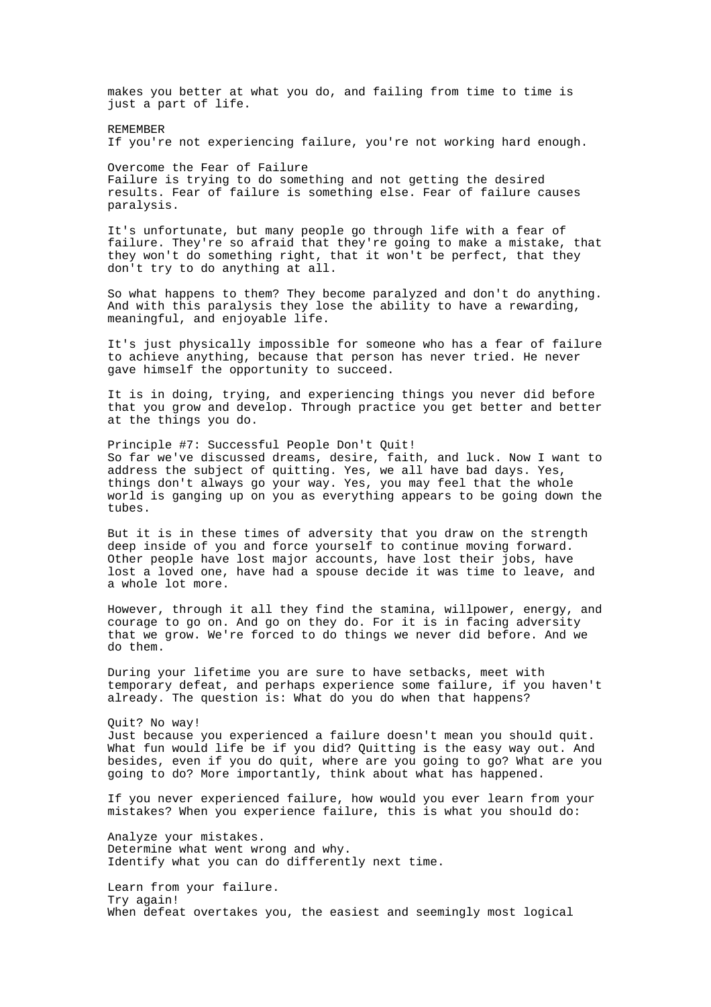makes you better at what you do, and failing from time to time is just a part of life.

REMEMBER If you're not experiencing failure, you're not working hard enough.

Overcome the Fear of Failure Failure is trying to do something and not getting the desired results. Fear of failure is something else. Fear of failure causes paralysis.

It's unfortunate, but many people go through life with a fear of failure. They're so afraid that they're going to make a mistake, that they won't do something right, that it won't be perfect, that they don't try to do anything at all.

So what happens to them? They become paralyzed and don't do anything. And with this paralysis they lose the ability to have a rewarding, meaningful, and enjoyable life.

It's just physically impossible for someone who has a fear of failure to achieve anything, because that person has never tried. He never gave himself the opportunity to succeed.

It is in doing, trying, and experiencing things you never did before that you grow and develop. Through practice you get better and better at the things you do.

Principle #7: Successful People Don't Quit! So far we've discussed dreams, desire, faith, and luck. Now I want to address the subject of quitting. Yes, we all have bad days. Yes, things don't always go your way. Yes, you may feel that the whole world is ganging up on you as everything appears to be going down the tubes.

But it is in these times of adversity that you draw on the strength deep inside of you and force yourself to continue moving forward. Other people have lost major accounts, have lost their jobs, have lost a loved one, have had a spouse decide it was time to leave, and a whole lot more.

However, through it all they find the stamina, willpower, energy, and courage to go on. And go on they do. For it is in facing adversity that we grow. We're forced to do things we never did before. And we do them.

During your lifetime you are sure to have setbacks, meet with temporary defeat, and perhaps experience some failure, if you haven't already. The question is: What do you do when that happens?

Quit? No way! Just because you experienced a failure doesn't mean you should quit. What fun would life be if you did? Quitting is the easy way out. And besides, even if you do quit, where are you going to go? What are you going to do? More importantly, think about what has happened.

If you never experienced failure, how would you ever learn from your mistakes? When you experience failure, this is what you should do:

Analyze your mistakes. Determine what went wrong and why. Identify what you can do differently next time.

Learn from your failure. Try again! When defeat overtakes you, the easiest and seemingly most logical